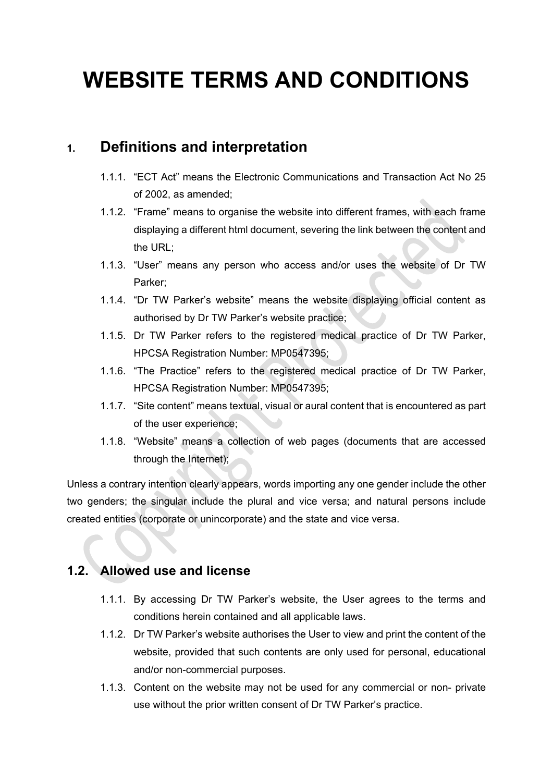# **WEBSITE TERMS AND CONDITIONS**

# **1. Definitions and interpretation**

- 1.1.1. "ECT Act" means the Electronic Communications and Transaction Act No 25 of 2002, as amended;
- 1.1.2. "Frame" means to organise the website into different frames, with each frame displaying a different html document, severing the link between the content and the URL;
- 1.1.3. "User" means any person who access and/or uses the website of Dr TW Parker;
- 1.1.4. "Dr TW Parker's website" means the website displaying official content as authorised by Dr TW Parker's website practice;
- 1.1.5. Dr TW Parker refers to the registered medical practice of Dr TW Parker, HPCSA Registration Number: MP0547395;
- 1.1.6. "The Practice" refers to the registered medical practice of Dr TW Parker, HPCSA Registration Number: MP0547395;
- 1.1.7. "Site content" means textual, visual or aural content that is encountered as part of the user experience;
- 1.1.8. "Website" means a collection of web pages (documents that are accessed through the Internet);

Unless a contrary intention clearly appears, words importing any one gender include the other two genders; the singular include the plural and vice versa; and natural persons include created entities (corporate or unincorporate) and the state and vice versa.

# **1.2. Allowed use and license**

- 1.1.1. By accessing Dr TW Parker's website, the User agrees to the terms and conditions herein contained and all applicable laws.
- 1.1.2. Dr TW Parker's website authorises the User to view and print the content of the website, provided that such contents are only used for personal, educational and/or non-commercial purposes.
- 1.1.3. Content on the website may not be used for any commercial or non- private use without the prior written consent of Dr TW Parker's practice.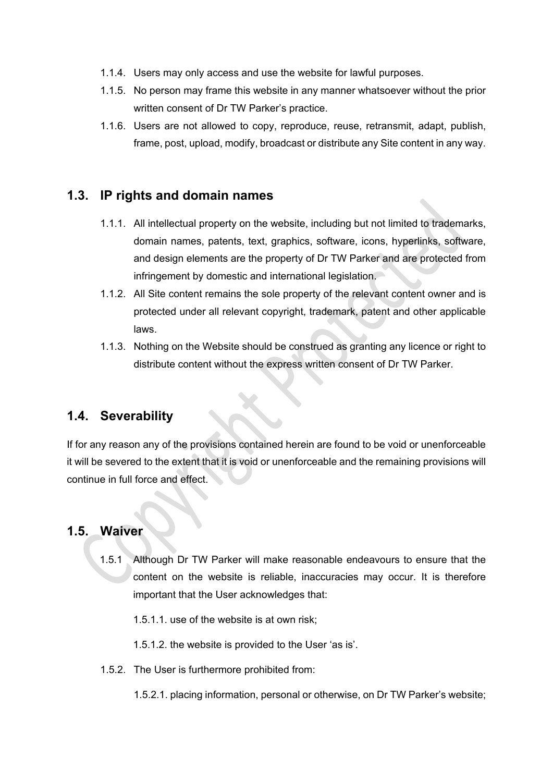- 1.1.4. Users may only access and use the website for lawful purposes.
- 1.1.5. No person may frame this website in any manner whatsoever without the prior written consent of Dr TW Parker's practice.
- 1.1.6. Users are not allowed to copy, reproduce, reuse, retransmit, adapt, publish, frame, post, upload, modify, broadcast or distribute any Site content in any way.

# **1.3. IP rights and domain names**

- 1.1.1. All intellectual property on the website, including but not limited to trademarks, domain names, patents, text, graphics, software, icons, hyperlinks, software, and design elements are the property of Dr TW Parker and are protected from infringement by domestic and international legislation.
- 1.1.2. All Site content remains the sole property of the relevant content owner and is protected under all relevant copyright, trademark, patent and other applicable laws.
- 1.1.3. Nothing on the Website should be construed as granting any licence or right to distribute content without the express written consent of Dr TW Parker.

#### **1.4. Severability**

If for any reason any of the provisions contained herein are found to be void or unenforceable it will be severed to the extent that it is void or unenforceable and the remaining provisions will continue in full force and effect.

#### **1.5. Waiver**

1.5.1 Although Dr TW Parker will make reasonable endeavours to ensure that the content on the website is reliable, inaccuracies may occur. It is therefore important that the User acknowledges that:

1.5.1.1. use of the website is at own risk;

1.5.1.2. the website is provided to the User 'as is'.

1.5.2. The User is furthermore prohibited from:

1.5.2.1. placing information, personal or otherwise, on Dr TW Parker's website;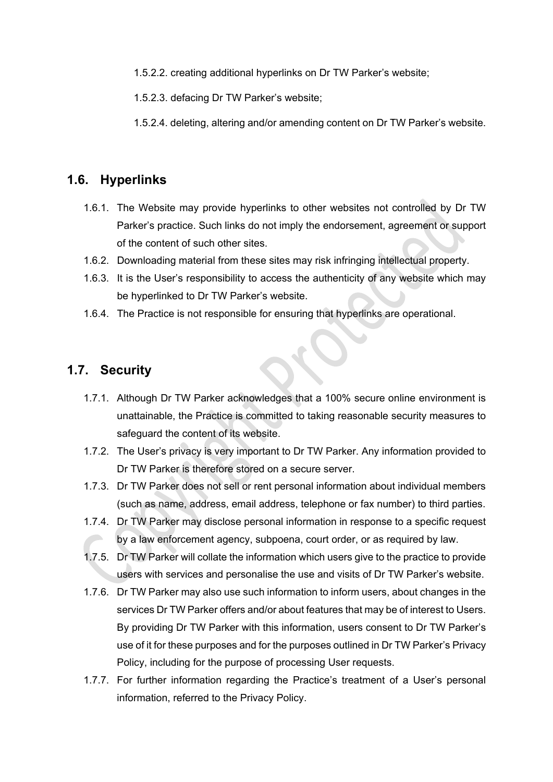- 1.5.2.2. creating additional hyperlinks on Dr TW Parker's website;
- 1.5.2.3. defacing Dr TW Parker's website;
- 1.5.2.4. deleting, altering and/or amending content on Dr TW Parker's website.

#### **1.6. Hyperlinks**

- 1.6.1. The Website may provide hyperlinks to other websites not controlled by Dr TW Parker's practice. Such links do not imply the endorsement, agreement or support of the content of such other sites.
- 1.6.2. Downloading material from these sites may risk infringing intellectual property.
- 1.6.3. It is the User's responsibility to access the authenticity of any website which may be hyperlinked to Dr TW Parker's website.
- 1.6.4. The Practice is not responsible for ensuring that hyperlinks are operational.

#### **1.7. Security**

- 1.7.1. Although Dr TW Parker acknowledges that a 100% secure online environment is unattainable, the Practice is committed to taking reasonable security measures to safeguard the content of its website.
- 1.7.2. The User's privacy is very important to Dr TW Parker. Any information provided to Dr TW Parker is therefore stored on a secure server.
- 1.7.3. Dr TW Parker does not sell or rent personal information about individual members (such as name, address, email address, telephone or fax number) to third parties.
- 1.7.4. Dr TW Parker may disclose personal information in response to a specific request by a law enforcement agency, subpoena, court order, or as required by law.
- 1.7.5. Dr TW Parker will collate the information which users give to the practice to provide users with services and personalise the use and visits of Dr TW Parker's website.
- 1.7.6. Dr TW Parker may also use such information to inform users, about changes in the services Dr TW Parker offers and/or about features that may be of interest to Users. By providing Dr TW Parker with this information, users consent to Dr TW Parker's use of it for these purposes and for the purposes outlined in Dr TW Parker's Privacy Policy, including for the purpose of processing User requests.
- 1.7.7. For further information regarding the Practice's treatment of a User's personal information, referred to the Privacy Policy.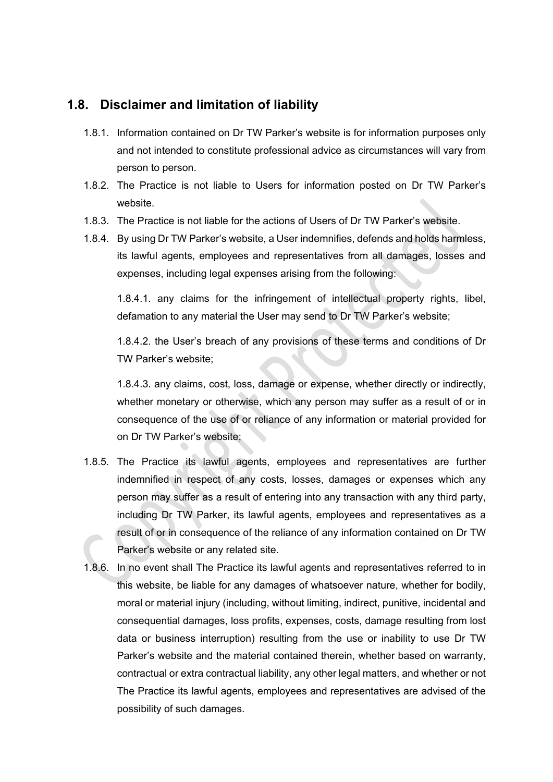#### **1.8. Disclaimer and limitation of liability**

- 1.8.1. Information contained on Dr TW Parker's website is for information purposes only and not intended to constitute professional advice as circumstances will vary from person to person.
- 1.8.2. The Practice is not liable to Users for information posted on Dr TW Parker's website.
- 1.8.3. The Practice is not liable for the actions of Users of Dr TW Parker's website.
- 1.8.4. By using Dr TW Parker's website, a User indemnifies, defends and holds harmless, its lawful agents, employees and representatives from all damages, losses and expenses, including legal expenses arising from the following:

1.8.4.1. any claims for the infringement of intellectual property rights, libel, defamation to any material the User may send to Dr TW Parker's website;

1.8.4.2. the User's breach of any provisions of these terms and conditions of Dr TW Parker's website;

1.8.4.3. any claims, cost, loss, damage or expense, whether directly or indirectly, whether monetary or otherwise, which any person may suffer as a result of or in consequence of the use of or reliance of any information or material provided for on Dr TW Parker's website;

- 1.8.5. The Practice its lawful agents, employees and representatives are further indemnified in respect of any costs, losses, damages or expenses which any person may suffer as a result of entering into any transaction with any third party, including Dr TW Parker, its lawful agents, employees and representatives as a result of or in consequence of the reliance of any information contained on Dr TW Parker's website or any related site.
- 1.8.6. In no event shall The Practice its lawful agents and representatives referred to in this website, be liable for any damages of whatsoever nature, whether for bodily, moral or material injury (including, without limiting, indirect, punitive, incidental and consequential damages, loss profits, expenses, costs, damage resulting from lost data or business interruption) resulting from the use or inability to use Dr TW Parker's website and the material contained therein, whether based on warranty, contractual or extra contractual liability, any other legal matters, and whether or not The Practice its lawful agents, employees and representatives are advised of the possibility of such damages.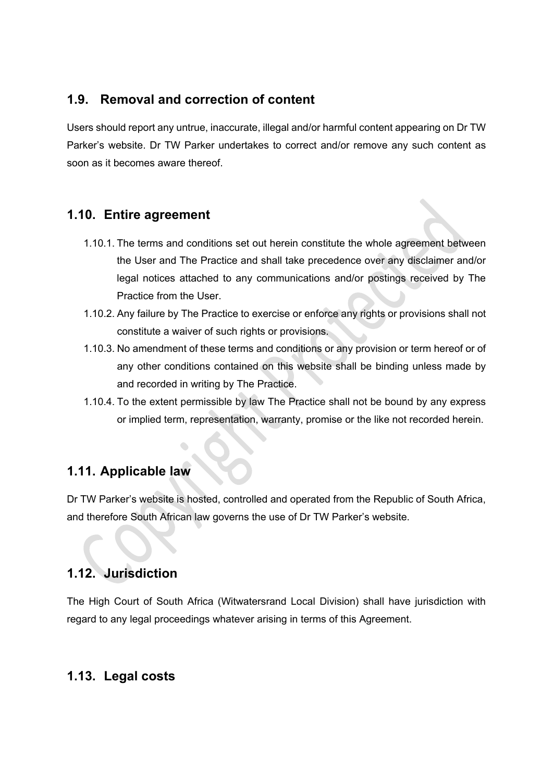#### **1.9. Removal and correction of content**

Users should report any untrue, inaccurate, illegal and/or harmful content appearing on Dr TW Parker's website. Dr TW Parker undertakes to correct and/or remove any such content as soon as it becomes aware thereof.

#### **1.10. Entire agreement**

- 1.10.1. The terms and conditions set out herein constitute the whole agreement between the User and The Practice and shall take precedence over any disclaimer and/or legal notices attached to any communications and/or postings received by The Practice from the User.
- 1.10.2. Any failure by The Practice to exercise or enforce any rights or provisions shall not constitute a waiver of such rights or provisions.
- 1.10.3. No amendment of these terms and conditions or any provision or term hereof or of any other conditions contained on this website shall be binding unless made by and recorded in writing by The Practice.
- 1.10.4. To the extent permissible by law The Practice shall not be bound by any express or implied term, representation, warranty, promise or the like not recorded herein.

# **1.11. Applicable law**

Dr TW Parker's website is hosted, controlled and operated from the Republic of South Africa, and therefore South African law governs the use of Dr TW Parker's website.

# **1.12. Jurisdiction**

The High Court of South Africa (Witwatersrand Local Division) shall have jurisdiction with regard to any legal proceedings whatever arising in terms of this Agreement.

#### **1.13. Legal costs**